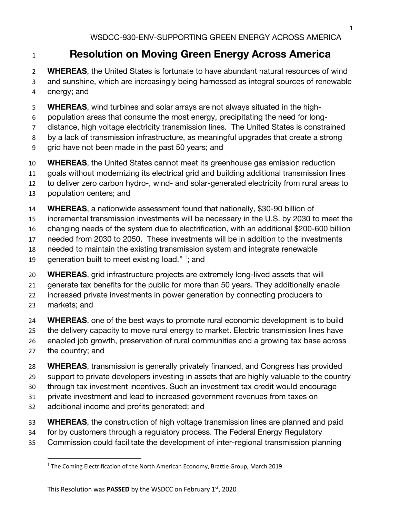## **Resolution on Moving Green Energy Across America**

 **WHEREAS**, the United States is fortunate to have abundant natural resources of wind and sunshine, which are increasingly being harnessed as integral sources of renewable energy; and

- **WHEREAS**, wind turbines and solar arrays are not always situated in the high-
- population areas that consume the most energy, precipitating the need for long-
- distance, high voltage electricity transmission lines. The United States is constrained
- by a lack of transmission infrastructure, as meaningful upgrades that create a strong
- grid have not been made in the past 50 years; and
- **WHEREAS**, the United States cannot meet its greenhouse gas emission reduction
- goals without modernizing its electrical grid and building additional transmission lines

to deliver zero carbon hydro-, wind- and solar-generated electricity from rural areas to

- population centers; and
- **WHEREAS**, a nationwide assessment found that nationally, \$30-90 billion of
- incremental transmission investments will be necessary in the U.S. by 2030 to meet the
- changing needs of the system due to electrification, with an additional \$200-600 billion
- needed from 2030 to 2050. These investments will be in addition to the investments
- needed to maintain the existing transmission system and integrate renewable
- 19 generation built to meet existing load."  $\frac{1}{2}$  and
- **WHEREAS**, grid infrastructure projects are extremely long-lived assets that will
- generate tax benefits for the public for more than 50 years. They additionally enable

increased private investments in power generation by connecting producers to

- markets; and
- **WHEREAS**, one of the best ways to promote rural economic development is to build the delivery capacity to move rural energy to market. Electric transmission lines have enabled job growth, preservation of rural communities and a growing tax base across
- the country; and
- **WHEREAS**, transmission is generally privately financed, and Congress has provided
- support to private developers investing in assets that are highly valuable to the country
- through tax investment incentives. Such an investment tax credit would encourage
- private investment and lead to increased government revenues from taxes on
- additional income and profits generated; and
- **WHEREAS**, the construction of high voltage transmission lines are planned and paid
- for by customers through a regulatory process. The Federal Energy Regulatory
- Commission could facilitate the development of inter-regional transmission planning

<sup>&</sup>lt;sup>1</sup> The Coming Electrification of the North American Economy, Brattle Group, March 2019